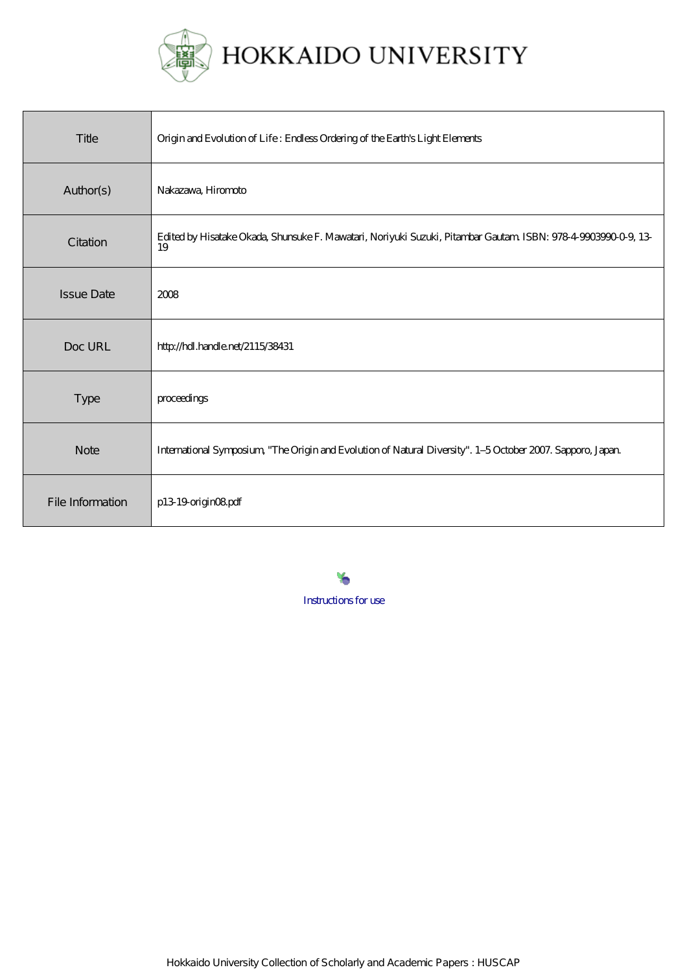

| Title             | Origin and Evolution of Life: Endless Ordering of the Earth's Light Elements                                        |
|-------------------|---------------------------------------------------------------------------------------------------------------------|
| Author(s)         | Nakazawa, Hiromoto                                                                                                  |
| Citation          | Edited by Hisatake Okada, Shunsuke F. Mawatari, Noriyuki Suzuki, Pitambar Gautam ISBN: 978-4-9903990-0-9, 13-<br>19 |
| <b>Issue Date</b> | 2008                                                                                                                |
| Doc URL           | http://hdl.handle.net/2115/38431                                                                                    |
| Type              | proceedings                                                                                                         |
| <b>Note</b>       | International Symposium, "The Origin and Evolution of Natural Diversity". 1-5 October 2007. Sapporo, Japan          |
| File Information  | p13 19 origin OBpdf                                                                                                 |

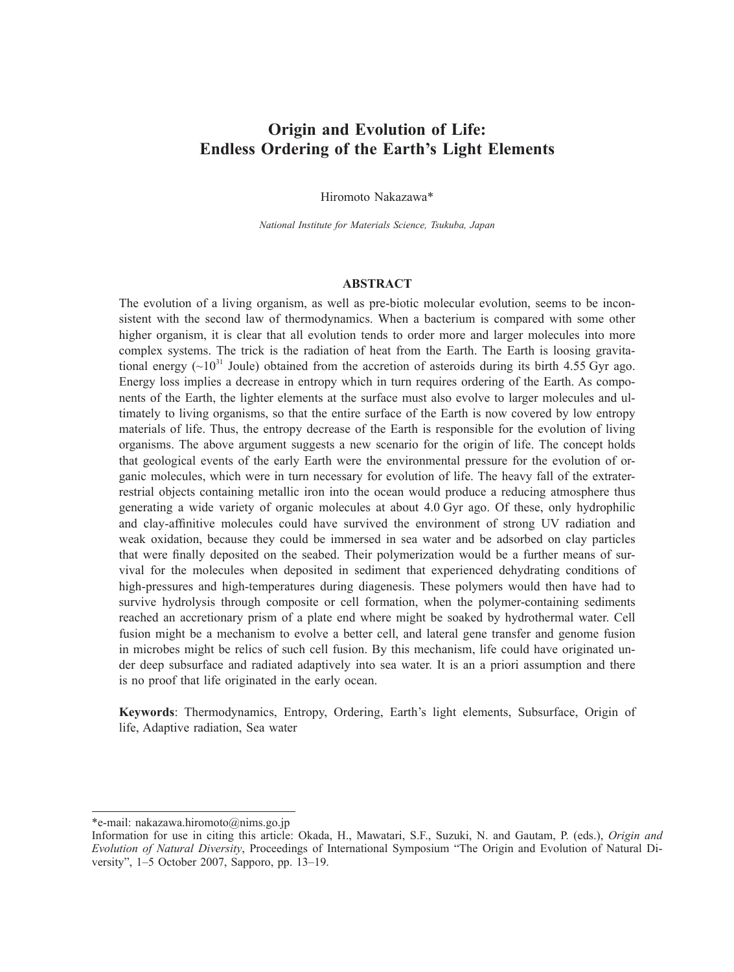# **Origin and Evolution of Life: Endless Ordering of the Earth's Light Elements**

Hiromoto Nakazawa\*

*National Institute for Materials Science, Tsukuba, Japan*

# **ABSTRACT**

The evolution of a living organism, as well as pre-biotic molecular evolution, seems to be inconsistent with the second law of thermodynamics. When a bacterium is compared with some other higher organism, it is clear that all evolution tends to order more and larger molecules into more complex systems. The trick is the radiation of heat from the Earth. The Earth is loosing gravitational energy  $({\sim}10^{31}$  Joule) obtained from the accretion of asteroids during its birth 4.55 Gyr ago. Energy loss implies a decrease in entropy which in turn requires ordering of the Earth. As components of the Earth, the lighter elements at the surface must also evolve to larger molecules and ultimately to living organisms, so that the entire surface of the Earth is now covered by low entropy materials of life. Thus, the entropy decrease of the Earth is responsible for the evolution of living organisms. The above argument suggests a new scenario for the origin of life. The concept holds that geological events of the early Earth were the environmental pressure for the evolution of organic molecules, which were in turn necessary for evolution of life. The heavy fall of the extraterrestrial objects containing metallic iron into the ocean would produce a reducing atmosphere thus generating a wide variety of organic molecules at about 4.0 Gyr ago. Of these, only hydrophilic and clay-affinitive molecules could have survived the environment of strong UV radiation and weak oxidation, because they could be immersed in sea water and be adsorbed on clay particles that were finally deposited on the seabed. Their polymerization would be a further means of survival for the molecules when deposited in sediment that experienced dehydrating conditions of high-pressures and high-temperatures during diagenesis. These polymers would then have had to survive hydrolysis through composite or cell formation, when the polymer-containing sediments reached an accretionary prism of a plate end where might be soaked by hydrothermal water. Cell fusion might be a mechanism to evolve a better cell, and lateral gene transfer and genome fusion in microbes might be relics of such cell fusion. By this mechanism, life could have originated under deep subsurface and radiated adaptively into sea water. It is an a priori assumption and there is no proof that life originated in the early ocean.

**Keywords**: Thermodynamics, Entropy, Ordering, Earth's light elements, Subsurface, Origin of life, Adaptive radiation, Sea water

<sup>\*</sup>e-mail: nakazawa.hiromoto@nims.go.jp

Information for use in citing this article: Okada, H., Mawatari, S.F., Suzuki, N. and Gautam, P. (eds.), *Origin and Evolution of Natural Diversity*, Proceedings of International Symposium "The Origin and Evolution of Natural Diversity", 1–5 October 2007, Sapporo, pp. 13–19.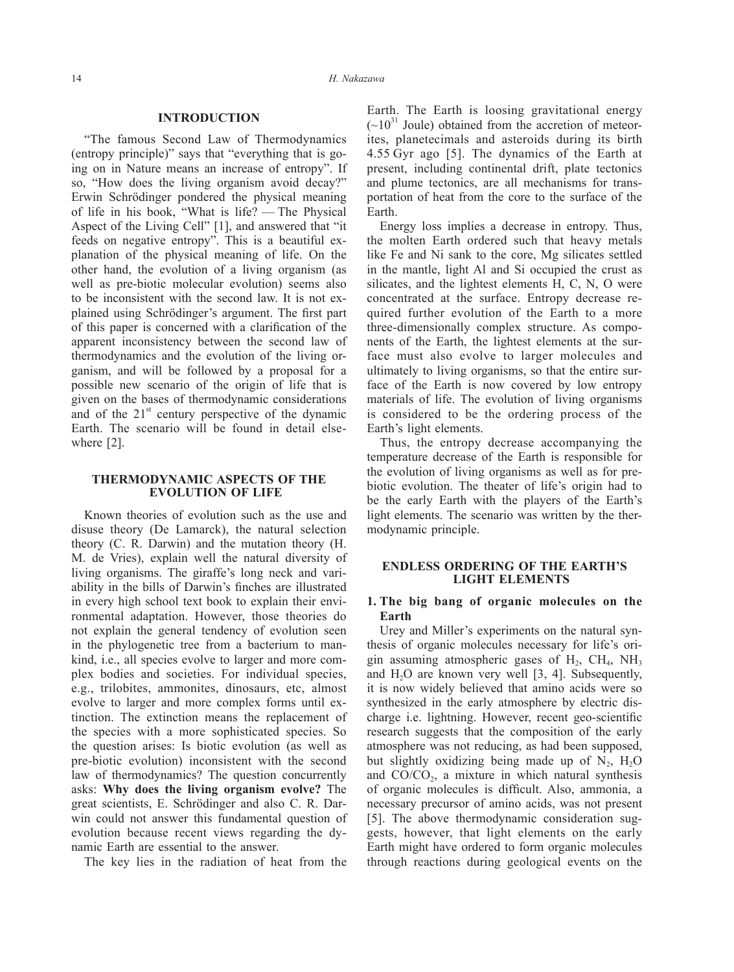## **INTRODUCTION**

"The famous Second Law of Thermodynamics (entropy principle)" says that "everything that is going on in Nature means an increase of entropy". If so, "How does the living organism avoid decay?" Erwin Schrödinger pondered the physical meaning of life in his book, "What is life? — The Physical Aspect of the Living Cell" [1], and answered that "it feeds on negative entropy". This is a beautiful explanation of the physical meaning of life. On the other hand, the evolution of a living organism (as well as pre-biotic molecular evolution) seems also to be inconsistent with the second law. It is not explained using Schrödinger's argument. The first part of this paper is concerned with a clarification of the apparent inconsistency between the second law of thermodynamics and the evolution of the living organism, and will be followed by a proposal for a possible new scenario of the origin of life that is given on the bases of thermodynamic considerations and of the  $21<sup>st</sup>$  century perspective of the dynamic Earth. The scenario will be found in detail elsewhere [2].

#### **THERMODYNAMIC ASPECTS OF THE EVOLUTION OF LIFE**

Known theories of evolution such as the use and disuse theory (De Lamarck), the natural selection theory (C. R. Darwin) and the mutation theory (H. M. de Vries), explain well the natural diversity of living organisms. The giraffe's long neck and variability in the bills of Darwin's finches are illustrated in every high school text book to explain their environmental adaptation. However, those theories do not explain the general tendency of evolution seen in the phylogenetic tree from a bacterium to mankind, i.e., all species evolve to larger and more complex bodies and societies. For individual species, e.g., trilobites, ammonites, dinosaurs, etc, almost evolve to larger and more complex forms until extinction. The extinction means the replacement of the species with a more sophisticated species. So the question arises: Is biotic evolution (as well as pre-biotic evolution) inconsistent with the second law of thermodynamics? The question concurrently asks: **Why does the living organism evolve?** The great scientists, E. Schrödinger and also C. R. Darwin could not answer this fundamental question of evolution because recent views regarding the dynamic Earth are essential to the answer.

The key lies in the radiation of heat from the

Earth. The Earth is loosing gravitational energy  $({\sim}10^{31}$  Joule) obtained from the accretion of meteorites, planetecimals and asteroids during its birth 4.55 Gyr ago [5]. The dynamics of the Earth at present, including continental drift, plate tectonics and plume tectonics, are all mechanisms for transportation of heat from the core to the surface of the Earth.

Energy loss implies a decrease in entropy. Thus, the molten Earth ordered such that heavy metals like Fe and Ni sank to the core, Mg silicates settled in the mantle, light Al and Si occupied the crust as silicates, and the lightest elements H, C, N, O were concentrated at the surface. Entropy decrease required further evolution of the Earth to a more three-dimensionally complex structure. As components of the Earth, the lightest elements at the surface must also evolve to larger molecules and ultimately to living organisms, so that the entire surface of the Earth is now covered by low entropy materials of life. The evolution of living organisms is considered to be the ordering process of the Earth's light elements.

Thus, the entropy decrease accompanying the temperature decrease of the Earth is responsible for the evolution of living organisms as well as for prebiotic evolution. The theater of life's origin had to be the early Earth with the players of the Earth's light elements. The scenario was written by the thermodynamic principle.

## **ENDLESS ORDERING OF THE EARTH'S LIGHT ELEMENTS**

#### **1. The big bang of organic molecules on the Earth**

Urey and Miller's experiments on the natural synthesis of organic molecules necessary for life's origin assuming atmospheric gases of  $H_2$ ,  $CH_4$ ,  $NH_3$ and  $H_2O$  are known very well [3, 4]. Subsequently, it is now widely believed that amino acids were so synthesized in the early atmosphere by electric discharge i.e. lightning. However, recent geo-scientific research suggests that the composition of the early atmosphere was not reducing, as had been supposed, but slightly oxidizing being made up of  $N_2$ ,  $H_2O$ and  $CO/CO<sub>2</sub>$ , a mixture in which natural synthesis of organic molecules is difficult. Also, ammonia, a necessary precursor of amino acids, was not present [5]. The above thermodynamic consideration suggests, however, that light elements on the early Earth might have ordered to form organic molecules through reactions during geological events on the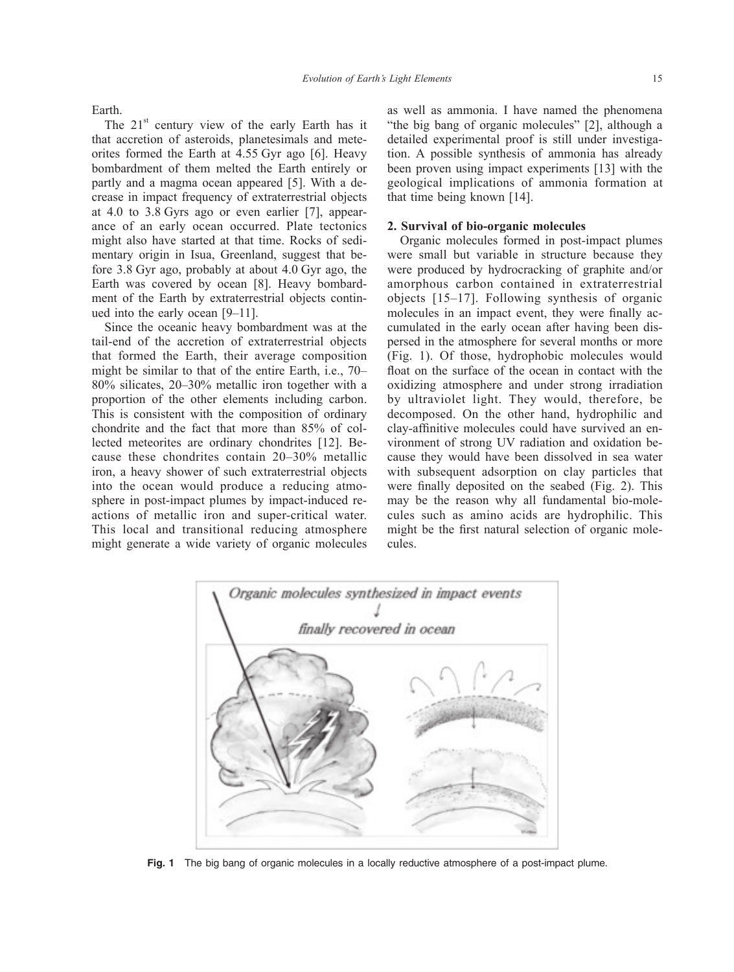Earth.

The  $21<sup>st</sup>$  century view of the early Earth has it that accretion of asteroids, planetesimals and meteorites formed the Earth at 4.55 Gyr ago [6]. Heavy bombardment of them melted the Earth entirely or partly and a magma ocean appeared [5]. With a decrease in impact frequency of extraterrestrial objects at 4.0 to 3.8 Gyrs ago or even earlier [7], appearance of an early ocean occurred. Plate tectonics might also have started at that time. Rocks of sedimentary origin in Isua, Greenland, suggest that before 3.8 Gyr ago, probably at about 4.0 Gyr ago, the Earth was covered by ocean [8]. Heavy bombardment of the Earth by extraterrestrial objects continued into the early ocean [9–11].

Since the oceanic heavy bombardment was at the tail-end of the accretion of extraterrestrial objects that formed the Earth, their average composition might be similar to that of the entire Earth, i.e., 70– 80% silicates, 20–30% metallic iron together with a proportion of the other elements including carbon. This is consistent with the composition of ordinary chondrite and the fact that more than 85% of collected meteorites are ordinary chondrites [12]. Because these chondrites contain 20–30% metallic iron, a heavy shower of such extraterrestrial objects into the ocean would produce a reducing atmosphere in post-impact plumes by impact-induced reactions of metallic iron and super-critical water. This local and transitional reducing atmosphere might generate a wide variety of organic molecules

as well as ammonia. I have named the phenomena "the big bang of organic molecules" [2], although a detailed experimental proof is still under investigation. A possible synthesis of ammonia has already been proven using impact experiments [13] with the geological implications of ammonia formation at that time being known [14].

## **2. Survival of bio-organic molecules**

Organic molecules formed in post-impact plumes were small but variable in structure because they were produced by hydrocracking of graphite and/or amorphous carbon contained in extraterrestrial objects [15–17]. Following synthesis of organic molecules in an impact event, they were finally accumulated in the early ocean after having been dispersed in the atmosphere for several months or more (Fig. 1). Of those, hydrophobic molecules would float on the surface of the ocean in contact with the oxidizing atmosphere and under strong irradiation by ultraviolet light. They would, therefore, be decomposed. On the other hand, hydrophilic and clay-affinitive molecules could have survived an environment of strong UV radiation and oxidation because they would have been dissolved in sea water with subsequent adsorption on clay particles that were finally deposited on the seabed (Fig. 2). This may be the reason why all fundamental bio-molecules such as amino acids are hydrophilic. This might be the first natural selection of organic molecules.



**Fig. 1** The big bang of organic molecules in a locally reductive atmosphere of a post-impact plume.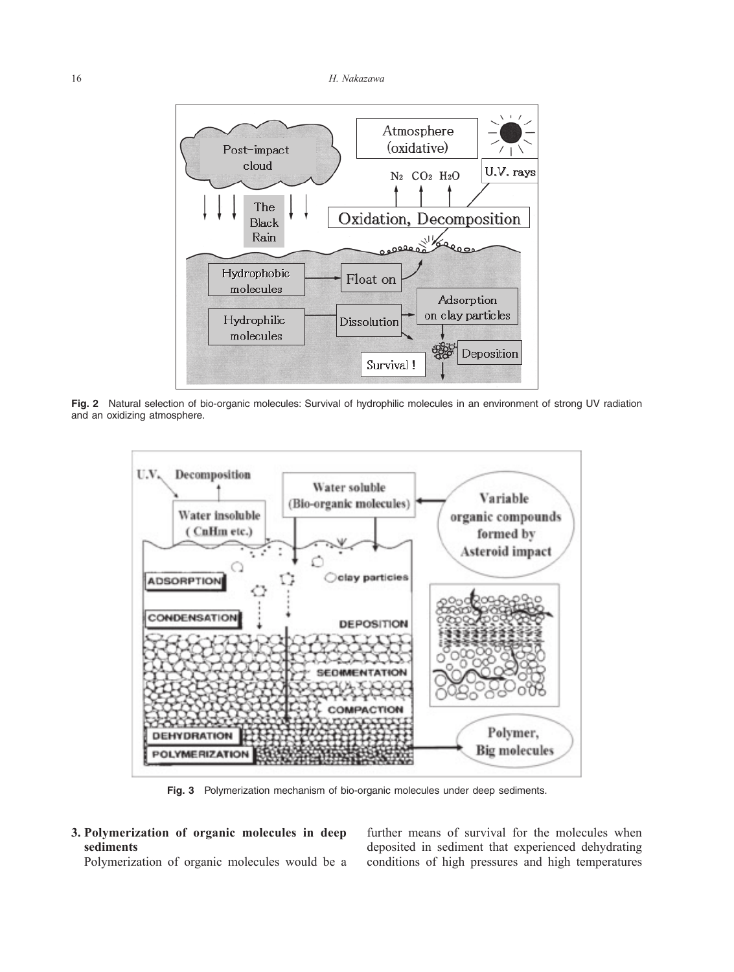

**Fig. 2** Natural selection of bio-organic molecules: Survival of hydrophilic molecules in an environment of strong UV radiation and an oxidizing atmosphere.



**Fig. 3** Polymerization mechanism of bio-organic molecules under deep sediments.

**3. Polymerization of organic molecules in deep sediments**

Polymerization of organic molecules would be a

further means of survival for the molecules when deposited in sediment that experienced dehydrating conditions of high pressures and high temperatures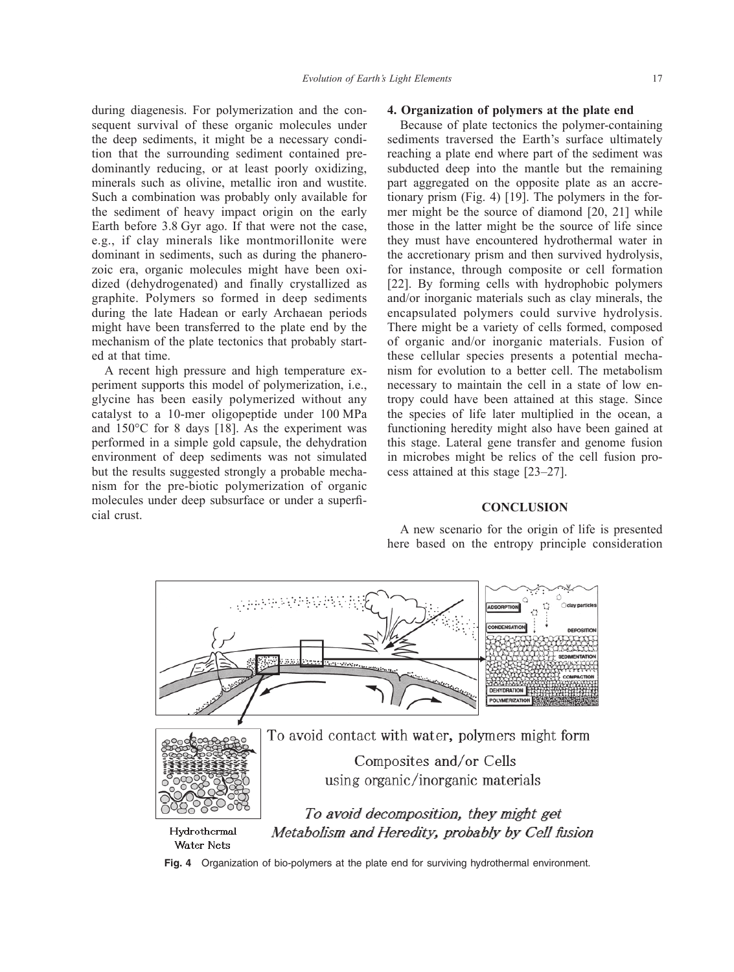during diagenesis. For polymerization and the consequent survival of these organic molecules under the deep sediments, it might be a necessary condition that the surrounding sediment contained predominantly reducing, or at least poorly oxidizing, minerals such as olivine, metallic iron and wustite. Such a combination was probably only available for the sediment of heavy impact origin on the early Earth before 3.8 Gyr ago. If that were not the case, e.g., if clay minerals like montmorillonite were dominant in sediments, such as during the phanerozoic era, organic molecules might have been oxidized (dehydrogenated) and finally crystallized as graphite. Polymers so formed in deep sediments during the late Hadean or early Archaean periods might have been transferred to the plate end by the mechanism of the plate tectonics that probably started at that time.

A recent high pressure and high temperature experiment supports this model of polymerization, i.e., glycine has been easily polymerized without any catalyst to a 10-mer oligopeptide under 100 MPa and 150°C for 8 days [18]. As the experiment was performed in a simple gold capsule, the dehydration environment of deep sediments was not simulated but the results suggested strongly a probable mechanism for the pre-biotic polymerization of organic molecules under deep subsurface or under a superficial crust.

#### **4. Organization of polymers at the plate end**

Because of plate tectonics the polymer-containing sediments traversed the Earth's surface ultimately reaching a plate end where part of the sediment was subducted deep into the mantle but the remaining part aggregated on the opposite plate as an accretionary prism (Fig. 4) [19]. The polymers in the former might be the source of diamond [20, 21] while those in the latter might be the source of life since they must have encountered hydrothermal water in the accretionary prism and then survived hydrolysis, for instance, through composite or cell formation [22]. By forming cells with hydrophobic polymers and/or inorganic materials such as clay minerals, the encapsulated polymers could survive hydrolysis. There might be a variety of cells formed, composed of organic and/or inorganic materials. Fusion of these cellular species presents a potential mechanism for evolution to a better cell. The metabolism necessary to maintain the cell in a state of low entropy could have been attained at this stage. Since the species of life later multiplied in the ocean, a functioning heredity might also have been gained at this stage. Lateral gene transfer and genome fusion in microbes might be relics of the cell fusion process attained at this stage [23–27].

# **CONCLUSION**

A new scenario for the origin of life is presented here based on the entropy principle consideration



**Fig. 4** Organization of bio-polymers at the plate end for surviving hydrothermal environment.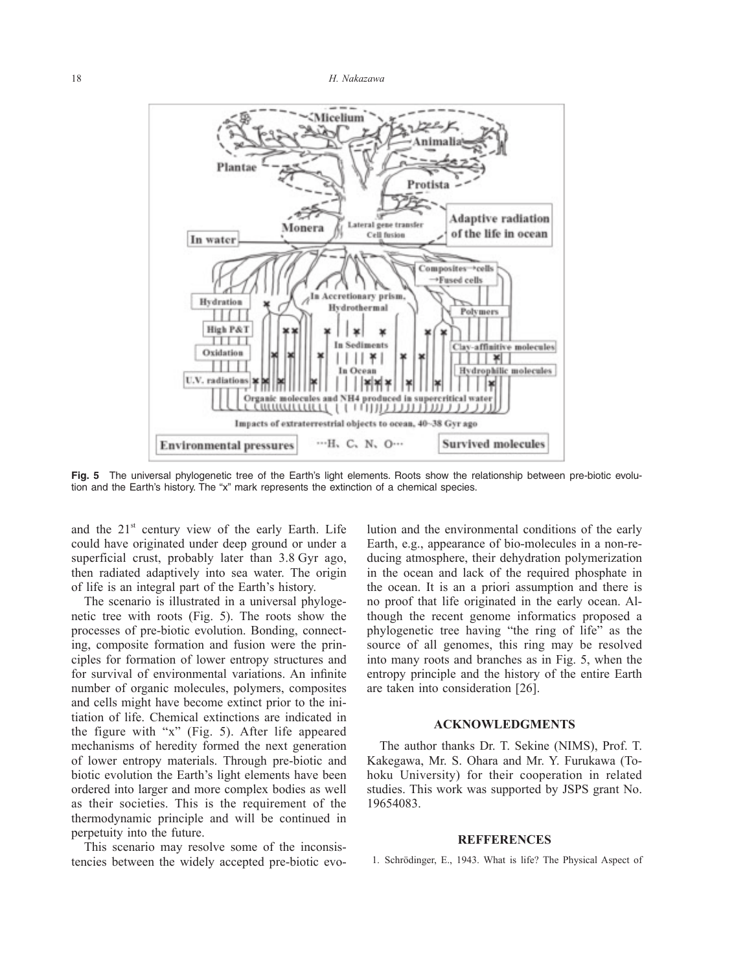

**Fig. 5** The universal phylogenetic tree of the Earth's light elements. Roots show the relationship between pre-biotic evolution and the Earth's history. The "x" mark represents the extinction of a chemical species.

and the  $21<sup>st</sup>$  century view of the early Earth. Life could have originated under deep ground or under a superficial crust, probably later than 3.8 Gyr ago, then radiated adaptively into sea water. The origin of life is an integral part of the Earth's history.

The scenario is illustrated in a universal phylogenetic tree with roots (Fig. 5). The roots show the processes of pre-biotic evolution. Bonding, connecting, composite formation and fusion were the principles for formation of lower entropy structures and for survival of environmental variations. An infinite number of organic molecules, polymers, composites and cells might have become extinct prior to the initiation of life. Chemical extinctions are indicated in the figure with "x" (Fig. 5). After life appeared mechanisms of heredity formed the next generation of lower entropy materials. Through pre-biotic and biotic evolution the Earth's light elements have been ordered into larger and more complex bodies as well as their societies. This is the requirement of the thermodynamic principle and will be continued in perpetuity into the future.

This scenario may resolve some of the inconsistencies between the widely accepted pre-biotic evolution and the environmental conditions of the early Earth, e.g., appearance of bio-molecules in a non-reducing atmosphere, their dehydration polymerization in the ocean and lack of the required phosphate in the ocean. It is an a priori assumption and there is no proof that life originated in the early ocean. Although the recent genome informatics proposed a phylogenetic tree having "the ring of life" as the source of all genomes, this ring may be resolved into many roots and branches as in Fig. 5, when the entropy principle and the history of the entire Earth are taken into consideration [26].

#### **ACKNOWLEDGMENTS**

The author thanks Dr. T. Sekine (NIMS), Prof. T. Kakegawa, Mr. S. Ohara and Mr. Y. Furukawa (Tohoku University) for their cooperation in related studies. This work was supported by JSPS grant No. 19654083.

#### **REFFERENCES**

1. Schrödinger, E., 1943. What is life? The Physical Aspect of